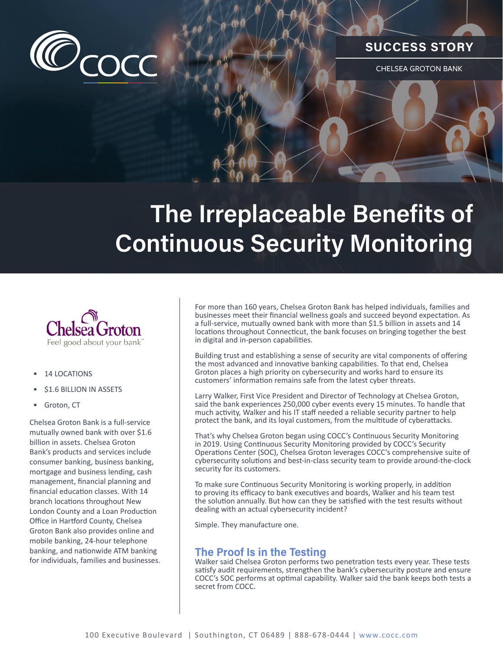

## **SUCCESS STORY**

CHELSEA GROTON BANK

# **The Irreplaceable Benefits of Continuous Security Monitoring**



#### • 14 LOCATIONS

- \$1.6 BILLION IN ASSETS
- Groton, CT

Chelsea Groton Bank is a full-service mutually owned bank with over \$1.6 billion in assets. Chelsea Groton Bank's products and services include consumer banking, business banking, mortgage and business lending, cash management, financial planning and financial education classes. With 14 branch locations throughout New London County and a Loan Production Office in Hartford County, Chelsea Groton Bank also provides online and mobile banking, 24-hour telephone banking, and nationwide ATM banking for individuals, families and businesses.

For more than 160 years, Chelsea Groton Bank has helped individuals, families and businesses meet their financial wellness goals and succeed beyond expectation. As a full-service, mutually owned bank with more than \$1.5 billion in assets and 14 locations throughout Connecticut, the bank focuses on bringing together the best in digital and in-person capabilities.

Building trust and establishing a sense of security are vital components of offering the most advanced and innovative banking capabilities. To that end, Chelsea Groton places a high priority on cybersecurity and works hard to ensure its customers' information remains safe from the latest cyber threats.

Larry Walker, First Vice President and Director of Technology at Chelsea Groton, said the bank experiences 250,000 cyber events every 15 minutes. To handle that much activity, Walker and his IT staff needed a reliable security partner to help protect the bank, and its loyal customers, from the multitude of cyberattacks.

That's why Chelsea Groton began using COCC's Continuous Security Monitoring in 2019. Using Continuous Security Monitoring provided by COCC's Security Operations Center (SOC), Chelsea Groton leverages COCC's comprehensive suite of cybersecurity solutions and best-in-class security team to provide around-the-clock security for its customers.

To make sure Continuous Security Monitoring is working properly, in addition to proving its efficacy to bank executives and boards, Walker and his team test the solution annually. But how can they be satisfied with the test results without dealing with an actual cybersecurity incident?

Simple. They manufacture one.

#### **The Proof Is in the Testing**

Walker said Chelsea Groton performs two penetration tests every year. These tests satisfy audit requirements, strengthen the bank's cybersecurity posture and ensure COCC's SOC performs at optimal capability. Walker said the bank keeps both tests a secret from COCC.